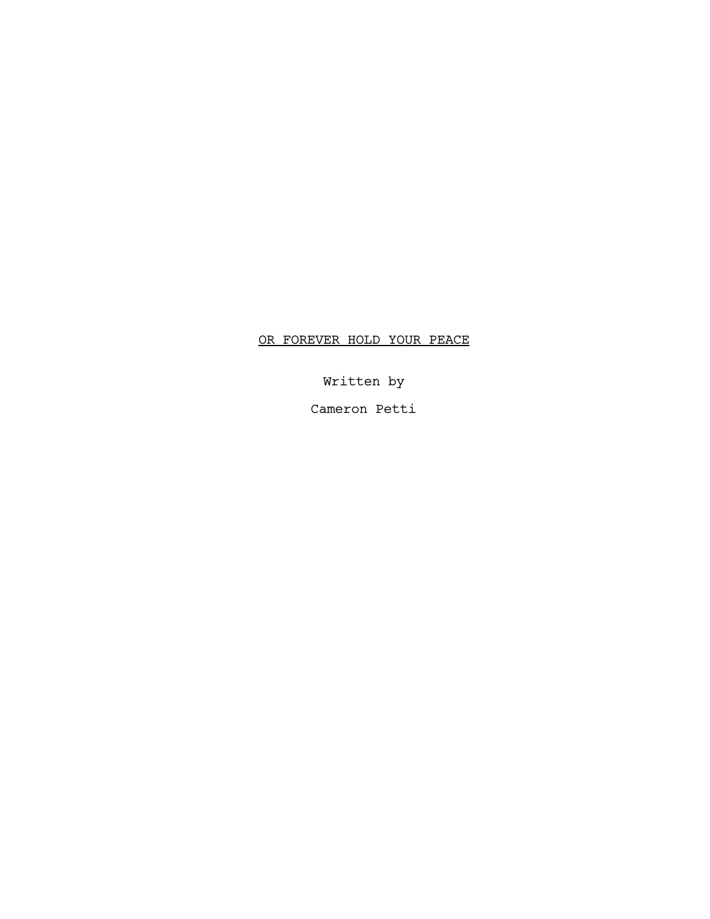# OR FOREVER HOLD YOUR PEACE

Written by

Cameron Petti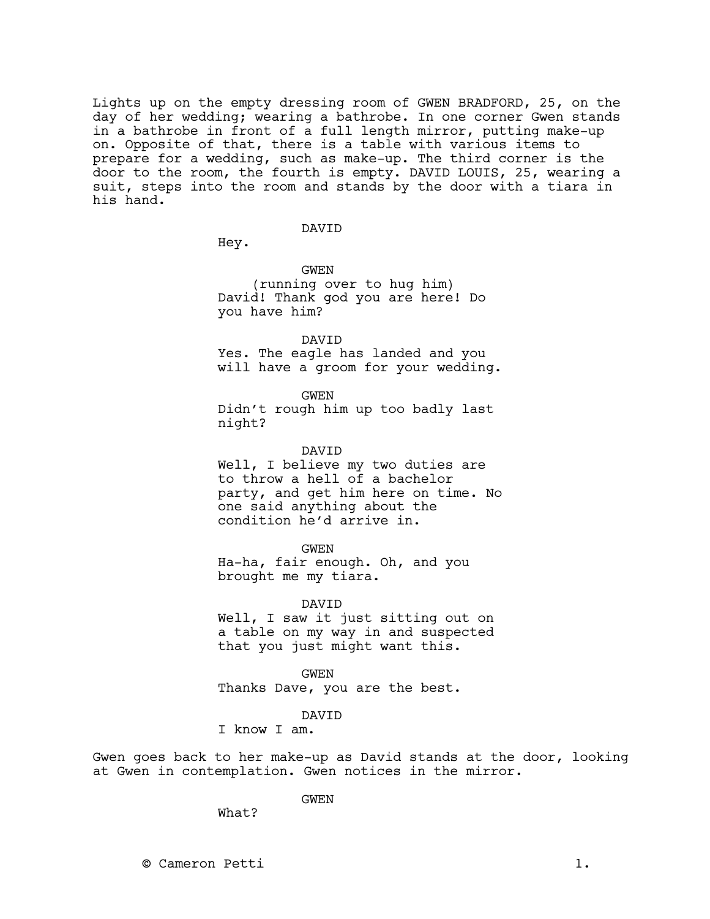Lights up on the empty dressing room of GWEN BRADFORD, 25, on the day of her wedding; wearing a bathrobe. In one corner Gwen stands in a bathrobe in front of a full length mirror, putting make-up on. Opposite of that, there is a table with various items to prepare for a wedding, such as make-up. The third corner is the door to the room, the fourth is empty. DAVID LOUIS, 25, wearing a suit, steps into the room and stands by the door with a tiara in his hand.

#### DAVID

Hey.

GWEN (running over to hug him) David! Thank god you are here! Do you have him?

DAVID Yes. The eagle has landed and you will have a groom for your wedding.

GWEN Didn't rough him up too badly last night?

DAVID Well, I believe my two duties are to throw a hell of a bachelor party, and get him here on time. No one said anything about the condition he'd arrive in.

GWEN Ha-ha, fair enough. Oh, and you brought me my tiara.

DAVID Well, I saw it just sitting out on a table on my way in and suspected that you just might want this.

GWEN Thanks Dave, you are the best.

DAVID

I know I am.

Gwen goes back to her make-up as David stands at the door, looking at Gwen in contemplation. Gwen notices in the mirror.

GWEN

What?

© Cameron Petti 1.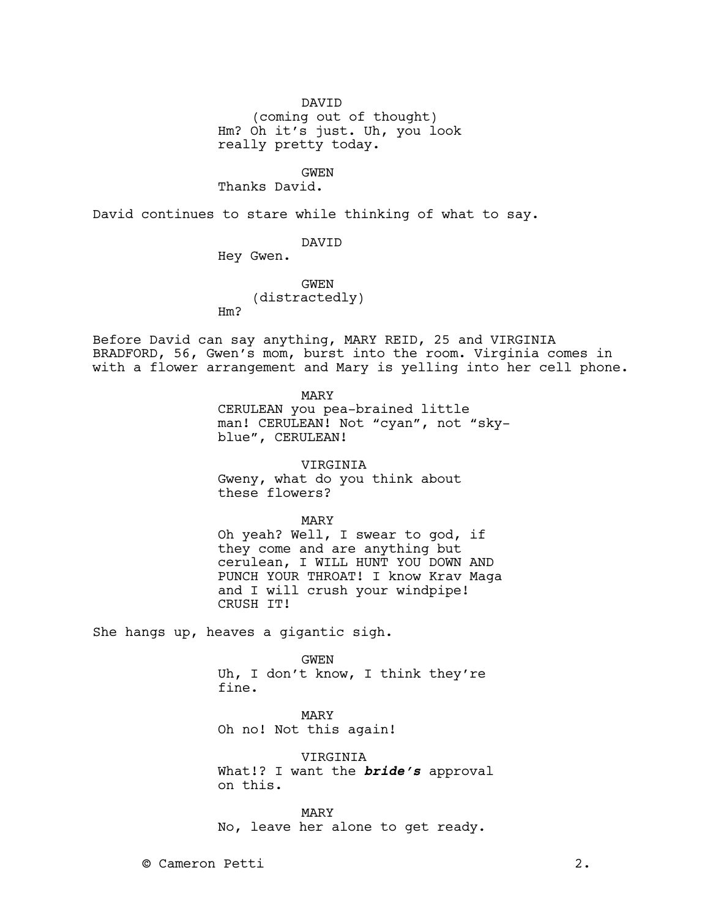DAVID

(coming out of thought) Hm? Oh it's just. Uh, you look really pretty today.

# GWEN

Thanks David.

David continues to stare while thinking of what to say.

## DAVID

Hey Gwen.

## GWEN

(distractedly) Hm?

Before David can say anything, MARY REID, 25 and VIRGINIA BRADFORD, 56, Gwen's mom, burst into the room. Virginia comes in with a flower arrangement and Mary is yelling into her cell phone.

MARY

CERULEAN you pea-brained little man! CERULEAN! Not "cyan", not "skyblue", CERULEAN!

VIRGINIA

Gweny, what do you think about these flowers?

MARY

Oh yeah? Well, I swear to god, if they come and are anything but cerulean, I WILL HUNT YOU DOWN AND PUNCH YOUR THROAT! I know Krav Maga and I will crush your windpipe! CRUSH IT!

She hangs up, heaves a gigantic sigh.

#### GWEN

Uh, I don't know, I think they're fine.

MARY Oh no! Not this again!

VIRGINIA What!? I want the **bride's** approval on this.

MARY No, leave her alone to get ready.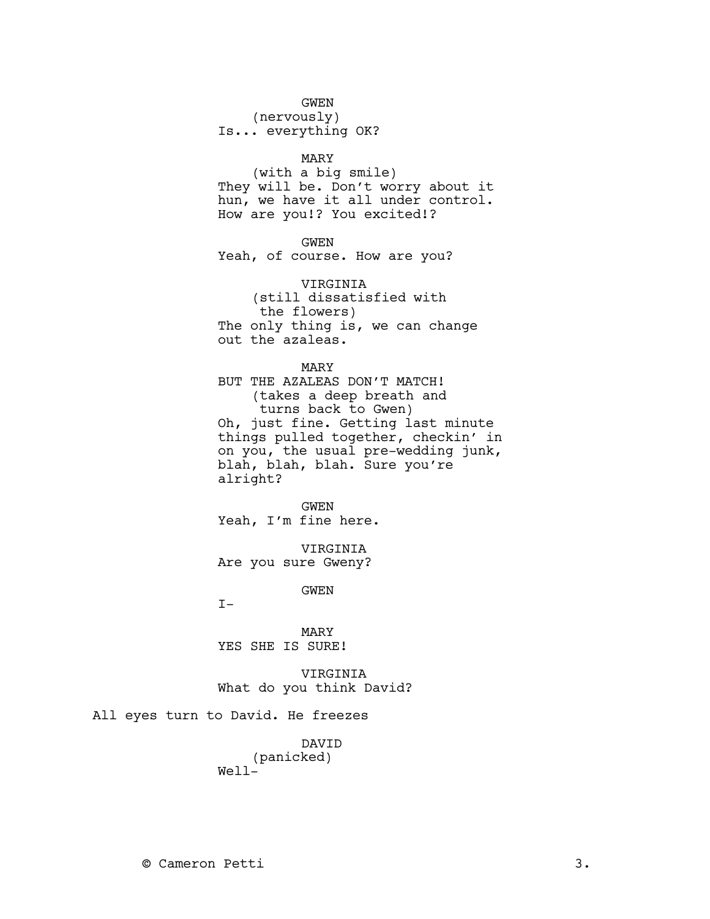#### GWEN

(nervously)

Is... everything OK?

#### MARY

(with a big smile) They will be. Don't worry about it hun, we have it all under control. How are you!? You excited!?

GWEN

Yeah, of course. How are you?

VIRGINIA (still dissatisfied with the flowers) The only thing is, we can change out the azaleas.

MARY

BUT THE AZALEAS DON'T MATCH! (takes a deep breath and turns back to Gwen) Oh, just fine. Getting last minute things pulled together, checkin' in on you, the usual pre-wedding junk, blah, blah, blah. Sure you're alright?

GWEN Yeah, I'm fine here.

VIRGINIA Are you sure Gweny?

GWEN

 $T-$ 

MARY YES SHE IS SURE!

VIRGINIA What do you think David?

All eyes turn to David. He freezes

DAVID (panicked) Well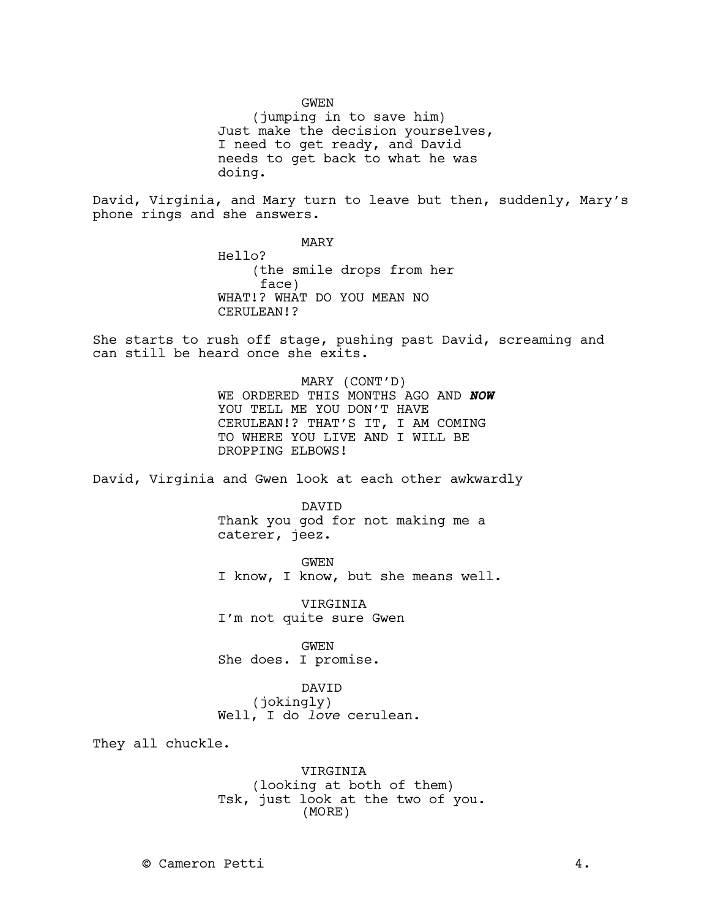GWEN

(jumping in to save him) Just make the decision yourselves, I need to get ready, and David needs to get back to what he was doing.

David, Virginia, and Mary turn to leave but then, suddenly, Mary's phone rings and she answers.

> MARY Hello? (the smile drops from her face) WHAT!? WHAT DO YOU MEAN NO CERULEAN!?

She starts to rush off stage, pushing past David, screaming and can still be heard once she exits.

> MARY (CONT'D) WE ORDERED THIS MONTHS AGO AND **NOW**  YOU TELL ME YOU DON'T HAVE CERULEAN!? THAT'S IT, I AM COMING TO WHERE YOU LIVE AND I WILL BE DROPPING ELBOWS!

David, Virginia and Gwen look at each other awkwardly

DAVID Thank you god for not making me a caterer, jeez.

GWEN I know, I know, but she means well.

VIRGINIA I'm not quite sure Gwen

GWEN She does. I promise.

DAVID (jokingly) Well, I do *love* cerulean.

They all chuckle.

VIRGINIA (looking at both of them) Tsk, just look at the two of you. (MORE)

© Cameron Petti 4.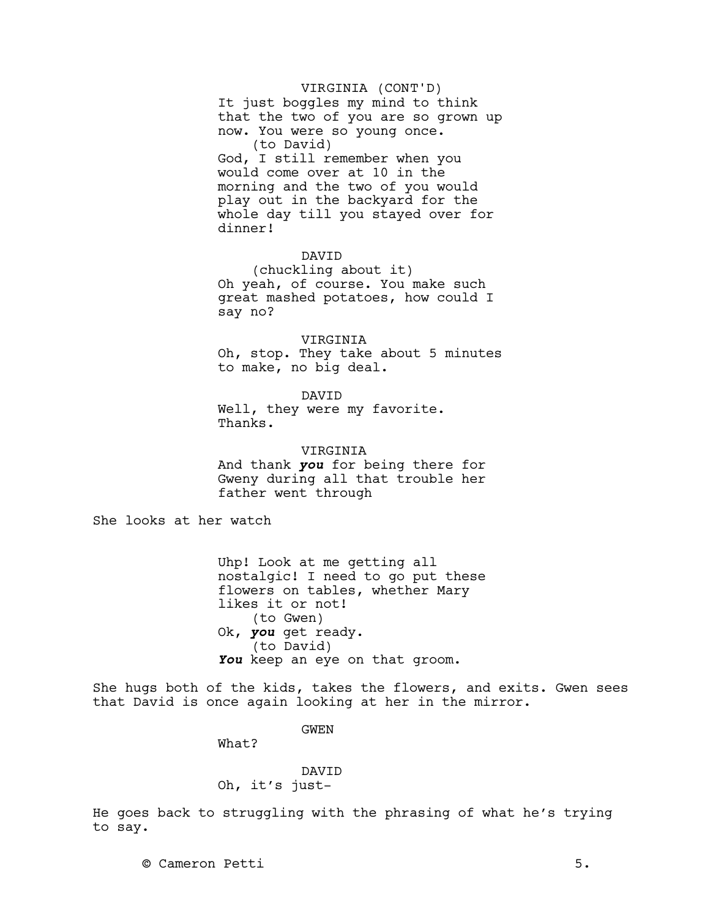### VIRGINIA (CONT'D)

It just boggles my mind to think that the two of you are so grown up now. You were so young once. (to David) God, I still remember when you would come over at 10 in the morning and the two of you would play out in the backyard for the whole day till you stayed over for dinner!

## DAVID

(chuckling about it) Oh yeah, of course. You make such great mashed potatoes, how could I say no?

#### VIRGINIA

Oh, stop. They take about 5 minutes to make, no big deal.

DAVID

Well, they were my favorite. Thanks.

**VIRGINIA** And thank **you** for being there for Gweny during all that trouble her father went through

She looks at her watch

Uhp! Look at me getting all nostalgic! I need to go put these flowers on tables, whether Mary likes it or not! (to Gwen) Ok, **you** get ready. (to David) **You** keep an eye on that groom.

She hugs both of the kids, takes the flowers, and exits. Gwen sees that David is once again looking at her in the mirror.

GWEN

What?

## DAVID Oh, it's just-

He goes back to struggling with the phrasing of what he's trying to say.

© Cameron Petti 5.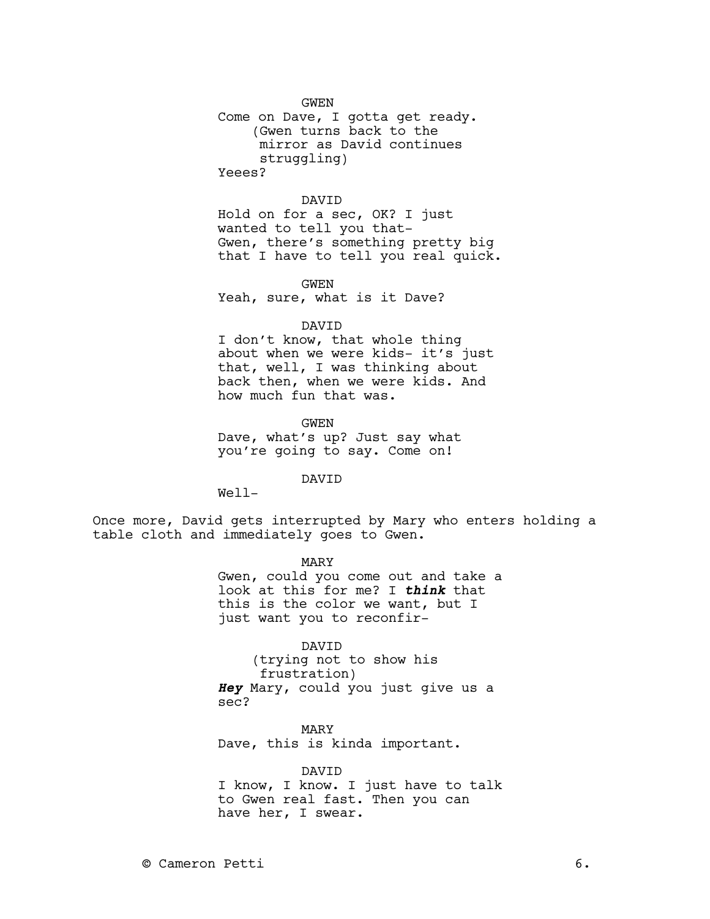GWEN

Come on Dave, I gotta get ready. (Gwen turns back to the mirror as David continues struggling)

Yeees?

### DAVID

Hold on for a sec, OK? I just wanted to tell you that-Gwen, there's something pretty big that I have to tell you real quick.

GWEN Yeah, sure, what is it Dave?

#### DAVID

I don't know, that whole thing about when we were kids- it's just that, well, I was thinking about back then, when we were kids. And how much fun that was.

GWEN Dave, what's up? Just say what you're going to say. Come on!

DAVID

Well-

Once more, David gets interrupted by Mary who enters holding a table cloth and immediately goes to Gwen.

> MARY Gwen, could you come out and take a look at this for me? I **think** that this is the color we want, but I just want you to reconfir-

> > DAVID

(trying not to show his frustration) **Hey** Mary, could you just give us a sec?

MARY Dave, this is kinda important.

#### DAVID

I know, I know. I just have to talk to Gwen real fast. Then you can have her, I swear.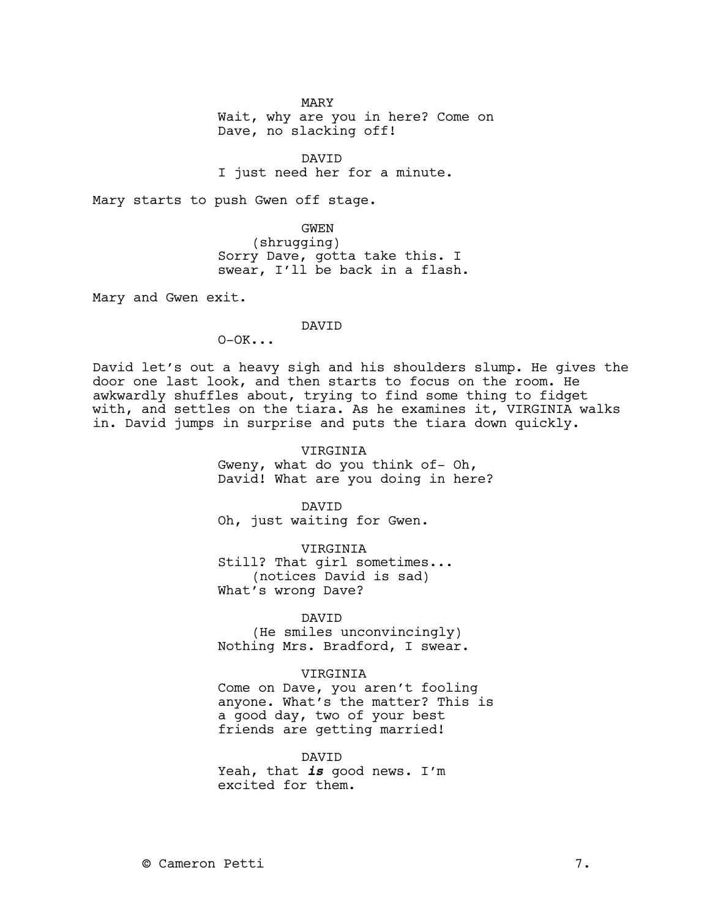MARY

Wait, why are you in here? Come on Dave, no slacking off!

DAVID I just need her for a minute.

Mary starts to push Gwen off stage.

GWEN (shrugging) Sorry Dave, gotta take this. I swear, I'll be back in a flash.

Mary and Gwen exit.

## DAVID

 $O-OK...$ 

David let's out a heavy sigh and his shoulders slump. He gives the door one last look, and then starts to focus on the room. He awkwardly shuffles about, trying to find some thing to fidget with, and settles on the tiara. As he examines it, VIRGINIA walks in. David jumps in surprise and puts the tiara down quickly.

> VIRGINIA Gweny, what do you think of- Oh, David! What are you doing in here?

DAVID Oh, just waiting for Gwen.

VIRGINIA Still? That girl sometimes... (notices David is sad) What's wrong Dave?

DAVID

(He smiles unconvincingly) Nothing Mrs. Bradford, I swear.

VIRGINIA

Come on Dave, you aren't fooling anyone. What's the matter? This is a good day, two of your best friends are getting married!

DAVID

Yeah, that **is** good news. I'm excited for them.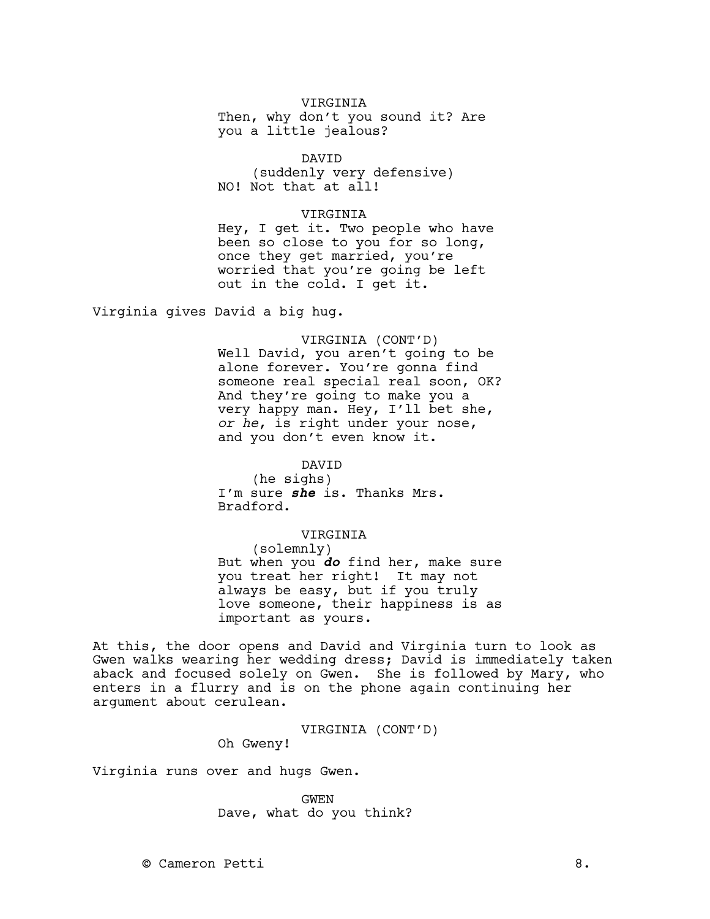## VIRGINIA

Then, why don't you sound it? Are you a little jealous?

## DAVID

(suddenly very defensive) NO! Not that at all!

#### VIRGINIA

Hey, I get it. Two people who have been so close to you for so long, once they get married, you're worried that you're going be left out in the cold. I get it.

Virginia gives David a big hug.

VIRGINIA (CONT'D) Well David, you aren't going to be alone forever. You're gonna find someone real special real soon, OK? And they're going to make you a very happy man. Hey, I'll bet she, *or he*, is right under your nose, and you don't even know it.

#### DAVID

(he sighs) I'm sure **she** is. Thanks Mrs. Bradford.

#### VIRGINIA

(solemnly) But when you **do** find her, make sure you treat her right! It may not always be easy, but if you truly love someone, their happiness is as important as yours.

At this, the door opens and David and Virginia turn to look as Gwen walks wearing her wedding dress; David is immediately taken aback and focused solely on Gwen. She is followed by Mary, who enters in a flurry and is on the phone again continuing her argument about cerulean.

VIRGINIA (CONT'D)

Oh Gweny!

Virginia runs over and hugs Gwen.

GWEN Dave, what do you think?

© Cameron Petti 8.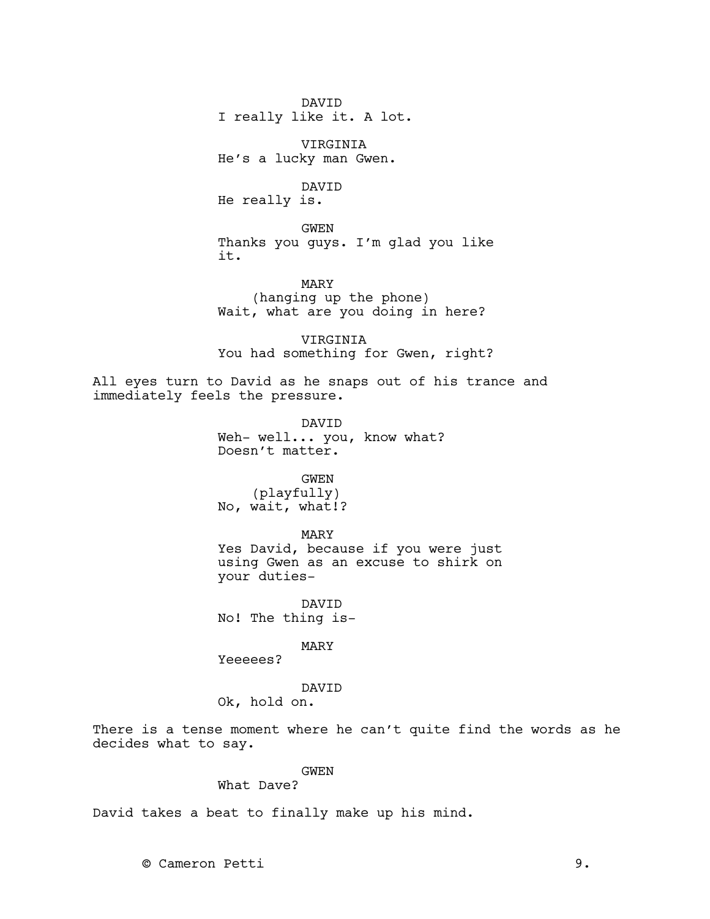DAVID I really like it. A lot.

VIRGINIA He's a lucky man Gwen.

DAVID He really is.

GWEN Thanks you guys. I'm glad you like it.

MARY (hanging up the phone) Wait, what are you doing in here?

VIRGINIA You had something for Gwen, right?

All eyes turn to David as he snaps out of his trance and immediately feels the pressure.

> DAVID Weh- well... you, know what? Doesn't matter.

# GWEN

(playfully) No, wait, what!?

#### MARY

Yes David, because if you were just using Gwen as an excuse to shirk on your duties-

DAVID No! The thing is-

MARY

Yeeeees?

DAVID Ok, hold on.

There is a tense moment where he can't quite find the words as he decides what to say.

## GWEN

## What Dave?

David takes a beat to finally make up his mind.

© Cameron Petti 9.